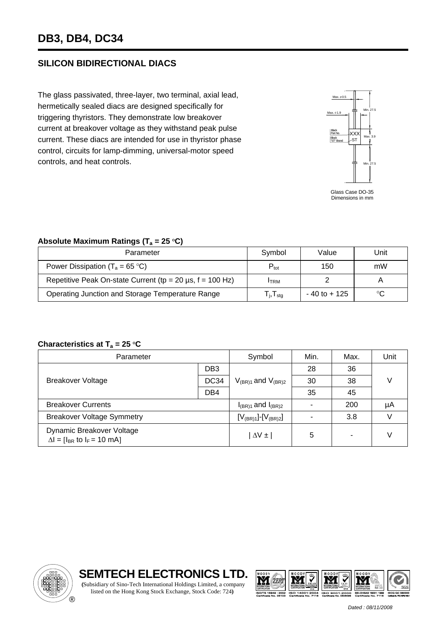## **SILICON BIDIRECTIONAL DIACS**

The glass passivated, three-layer, two terminal, axial lead, hermetically sealed diacs are designed specifically for triggering thyristors. They demonstrate low breakover current at breakover voltage as they withstand peak pulse current. These diacs are intended for use in thyristor phase control, circuits for lamp-dimming, universal-motor speed controls, and heat controls.



Dimensions in mm

## Absolute Maximum Ratings (T<sub>a</sub> = 25 °C)

| Parameter                                                                  | Symbol                                                 | Value           | Unit |
|----------------------------------------------------------------------------|--------------------------------------------------------|-----------------|------|
| Power Dissipation ( $T_a = 65 \degree C$ )                                 | $P_{\text{tot}}$                                       | 150             | mW   |
| Repetitive Peak On-state Current (tp = $20 \mu s$ , f = $100 \text{ Hz}$ ) | <b>ITRM</b>                                            |                 |      |
| Operating Junction and Storage Temperature Range                           | ${\mathsf T}_{\mathsf j} , {\mathsf T}_{\mathsf{stg}}$ | $-40$ to $+125$ | ℃    |

## **Characteristics at T<sub>a</sub> = 25 °C**

| Parameter                                                           |                 | Symbol                      | Min. | Max.                     | Unit |
|---------------------------------------------------------------------|-----------------|-----------------------------|------|--------------------------|------|
| <b>Breakover Voltage</b>                                            | DB <sub>3</sub> | $V_{(BR)1}$ and $V_{(BR)2}$ | 28   | 36                       |      |
|                                                                     | DC34            |                             | 30   | 38                       |      |
|                                                                     | DB <sub>4</sub> |                             | 35   | 45                       |      |
| <b>Breakover Currents</b>                                           |                 | $I_{(BR)1}$ and $I_{(BR)2}$ |      | 200                      | μA   |
| <b>Breakover Voltage Symmetry</b>                                   |                 | $[V_{(BR)1}][V_{(BR)2}]$    | ۰    | 3.8                      |      |
| Dynamic Breakover Voltage<br>$\Delta I = [I_{BR}$ to $I_F = 10$ mA] |                 | $\Delta V \pm$              | 5    | $\overline{\phantom{0}}$ |      |

listed on the Hong Kong Stock Exchange, Stock Code: 724**)**